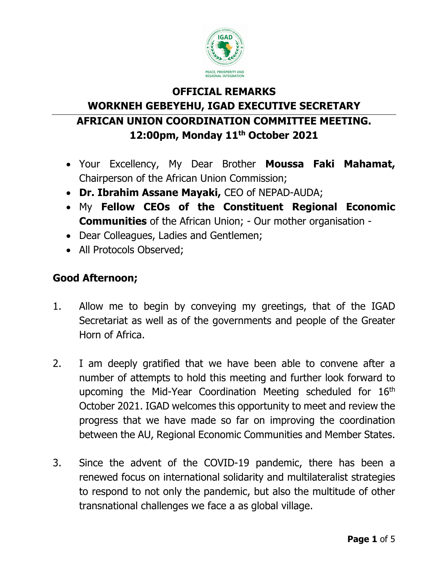

## **OFFICIAL REMARKS WORKNEH GEBEYEHU, IGAD EXECUTIVE SECRETARY AFRICAN UNION COORDINATION COMMITTEE MEETING. 12:00pm, Monday 11th October 2021**

- Your Excellency, My Dear Brother **Moussa Faki Mahamat,** Chairperson of the African Union Commission;
- **Dr. Ibrahim Assane Mayaki,** CEO of NEPAD-AUDA;
- My **Fellow CEOs of the Constituent Regional Economic Communities** of the African Union; - Our mother organisation -
- Dear Colleagues, Ladies and Gentlemen;
- All Protocols Observed;

## **Good Afternoon;**

- 1. Allow me to begin by conveying my greetings, that of the IGAD Secretariat as well as of the governments and people of the Greater Horn of Africa.
- 2. I am deeply gratified that we have been able to convene after a number of attempts to hold this meeting and further look forward to upcoming the Mid-Year Coordination Meeting scheduled for 16<sup>th</sup> October 2021. IGAD welcomes this opportunity to meet and review the progress that we have made so far on improving the coordination between the AU, Regional Economic Communities and Member States.
- 3. Since the advent of the COVID-19 pandemic, there has been a renewed focus on international solidarity and multilateralist strategies to respond to not only the pandemic, but also the multitude of other transnational challenges we face a as global village.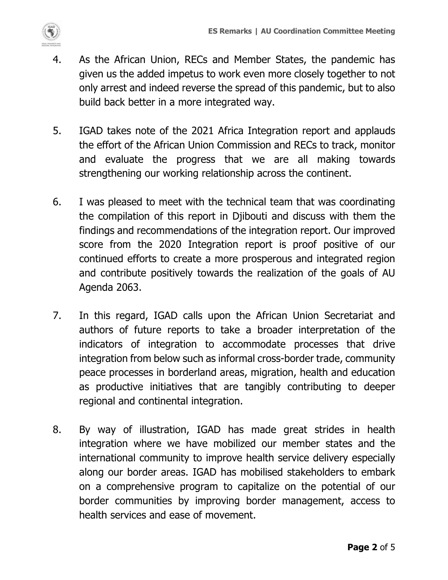

- 4. As the African Union, RECs and Member States, the pandemic has given us the added impetus to work even more closely together to not only arrest and indeed reverse the spread of this pandemic, but to also build back better in a more integrated way.
- 5. IGAD takes note of the 2021 Africa Integration report and applauds the effort of the African Union Commission and RECs to track, monitor and evaluate the progress that we are all making towards strengthening our working relationship across the continent.
- 6. I was pleased to meet with the technical team that was coordinating the compilation of this report in Djibouti and discuss with them the findings and recommendations of the integration report. Our improved score from the 2020 Integration report is proof positive of our continued efforts to create a more prosperous and integrated region and contribute positively towards the realization of the goals of AU Agenda 2063.
- 7. In this regard, IGAD calls upon the African Union Secretariat and authors of future reports to take a broader interpretation of the indicators of integration to accommodate processes that drive integration from below such as informal cross-border trade, community peace processes in borderland areas, migration, health and education as productive initiatives that are tangibly contributing to deeper regional and continental integration.
- 8. By way of illustration, IGAD has made great strides in health integration where we have mobilized our member states and the international community to improve health service delivery especially along our border areas. IGAD has mobilised stakeholders to embark on a comprehensive program to capitalize on the potential of our border communities by improving border management, access to health services and ease of movement.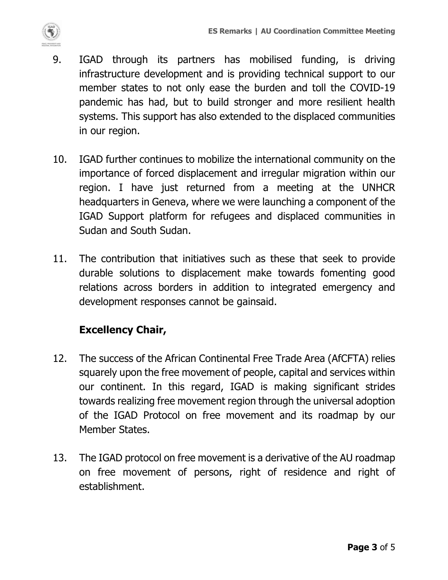

- 9. IGAD through its partners has mobilised funding, is driving infrastructure development and is providing technical support to our member states to not only ease the burden and toll the COVID-19 pandemic has had, but to build stronger and more resilient health systems. This support has also extended to the displaced communities in our region.
- 10. IGAD further continues to mobilize the international community on the importance of forced displacement and irregular migration within our region. I have just returned from a meeting at the UNHCR headquarters in Geneva, where we were launching a component of the IGAD Support platform for refugees and displaced communities in Sudan and South Sudan.
- 11. The contribution that initiatives such as these that seek to provide durable solutions to displacement make towards fomenting good relations across borders in addition to integrated emergency and development responses cannot be gainsaid.

## **Excellency Chair,**

- 12. The success of the African Continental Free Trade Area (AfCFTA) relies squarely upon the free movement of people, capital and services within our continent. In this regard, IGAD is making significant strides towards realizing free movement region through the universal adoption of the IGAD Protocol on free movement and its roadmap by our Member States.
- 13. The IGAD protocol on free movement is a derivative of the AU roadmap on free movement of persons, right of residence and right of establishment.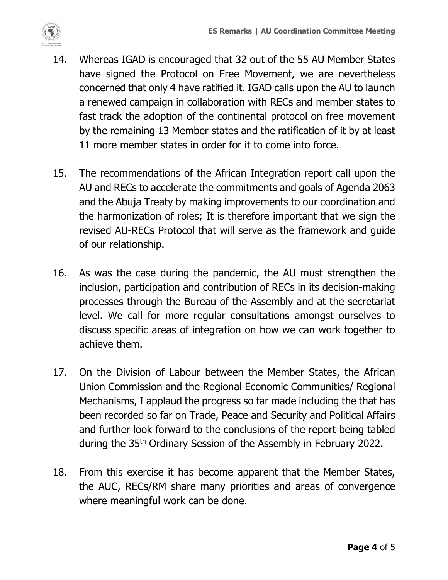

- 14. Whereas IGAD is encouraged that 32 out of the 55 AU Member States have signed the Protocol on Free Movement, we are nevertheless concerned that only 4 have ratified it. IGAD calls upon the AU to launch a renewed campaign in collaboration with RECs and member states to fast track the adoption of the continental protocol on free movement by the remaining 13 Member states and the ratification of it by at least 11 more member states in order for it to come into force.
- 15. The recommendations of the African Integration report call upon the AU and RECs to accelerate the commitments and goals of Agenda 2063 and the Abuja Treaty by making improvements to our coordination and the harmonization of roles; It is therefore important that we sign the revised AU-RECs Protocol that will serve as the framework and guide of our relationship.
- 16. As was the case during the pandemic, the AU must strengthen the inclusion, participation and contribution of RECs in its decision-making processes through the Bureau of the Assembly and at the secretariat level. We call for more regular consultations amongst ourselves to discuss specific areas of integration on how we can work together to achieve them.
- 17. On the Division of Labour between the Member States, the African Union Commission and the Regional Economic Communities/ Regional Mechanisms, I applaud the progress so far made including the that has been recorded so far on Trade, Peace and Security and Political Affairs and further look forward to the conclusions of the report being tabled during the 35th Ordinary Session of the Assembly in February 2022.
- 18. From this exercise it has become apparent that the Member States, the AUC, RECs/RM share many priorities and areas of convergence where meaningful work can be done.